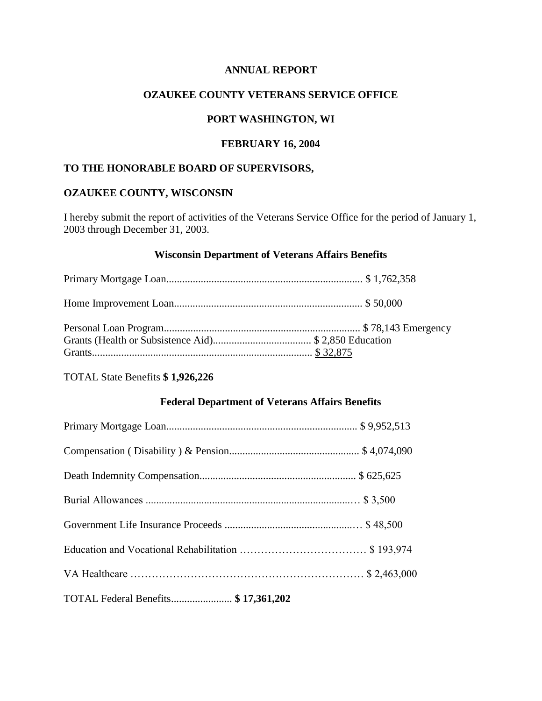#### **ANNUAL REPORT**

#### **OZAUKEE COUNTY VETERANS SERVICE OFFICE**

# **PORT WASHINGTON, WI**

# **FEBRUARY 16, 2004**

## **TO THE HONORABLE BOARD OF SUPERVISORS,**

## **OZAUKEE COUNTY, WISCONSIN**

I hereby submit the report of activities of the Veterans Service Office for the period of January 1, 2003 through December 31, 2003.

#### **Wisconsin Department of Veterans Affairs Benefits**

TOTAL State Benefits **\$ 1,926,226**

## **Federal Department of Veterans Affairs Benefits**

| TOTAL Federal Benefits \$17,361,202 |  |
|-------------------------------------|--|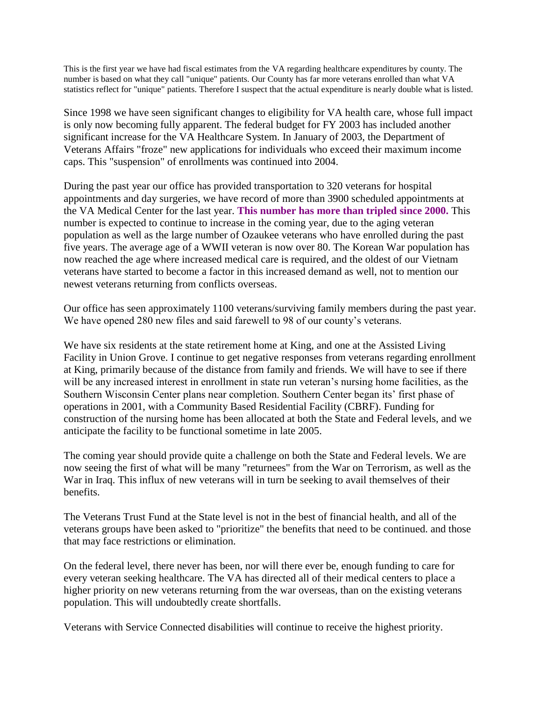This is the first year we have had fiscal estimates from the VA regarding healthcare expenditures by county. The number is based on what they call "unique" patients. Our County has far more veterans enrolled than what VA statistics reflect for "unique" patients. Therefore I suspect that the actual expenditure is nearly double what is listed.

Since 1998 we have seen significant changes to eligibility for VA health care, whose full impact is only now becoming fully apparent. The federal budget for FY 2003 has included another significant increase for the VA Healthcare System. In January of 2003, the Department of Veterans Affairs "froze" new applications for individuals who exceed their maximum income caps. This "suspension" of enrollments was continued into 2004.

During the past year our office has provided transportation to 320 veterans for hospital appointments and day surgeries, we have record of more than 3900 scheduled appointments at the VA Medical Center for the last year. **This number has more than tripled since 2000.** This number is expected to continue to increase in the coming year, due to the aging veteran population as well as the large number of Ozaukee veterans who have enrolled during the past five years. The average age of a WWII veteran is now over 80. The Korean War population has now reached the age where increased medical care is required, and the oldest of our Vietnam veterans have started to become a factor in this increased demand as well, not to mention our newest veterans returning from conflicts overseas.

Our office has seen approximately 1100 veterans/surviving family members during the past year. We have opened 280 new files and said farewell to 98 of our county's veterans.

We have six residents at the state retirement home at King, and one at the Assisted Living Facility in Union Grove. I continue to get negative responses from veterans regarding enrollment at King, primarily because of the distance from family and friends. We will have to see if there will be any increased interest in enrollment in state run veteran's nursing home facilities, as the Southern Wisconsin Center plans near completion. Southern Center began its' first phase of operations in 2001, with a Community Based Residential Facility (CBRF). Funding for construction of the nursing home has been allocated at both the State and Federal levels, and we anticipate the facility to be functional sometime in late 2005.

The coming year should provide quite a challenge on both the State and Federal levels. We are now seeing the first of what will be many "returnees" from the War on Terrorism, as well as the War in Iraq. This influx of new veterans will in turn be seeking to avail themselves of their benefits.

The Veterans Trust Fund at the State level is not in the best of financial health, and all of the veterans groups have been asked to "prioritize" the benefits that need to be continued. and those that may face restrictions or elimination.

On the federal level, there never has been, nor will there ever be, enough funding to care for every veteran seeking healthcare. The VA has directed all of their medical centers to place a higher priority on new veterans returning from the war overseas, than on the existing veterans population. This will undoubtedly create shortfalls.

Veterans with Service Connected disabilities will continue to receive the highest priority.